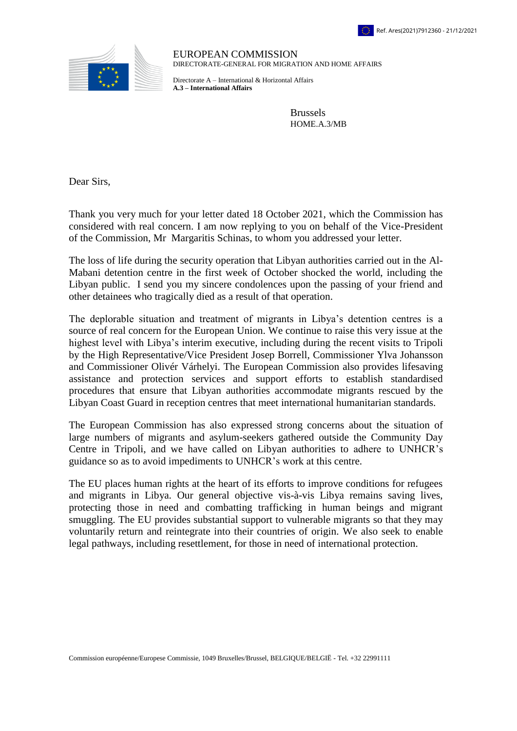



EUROPEAN COMMISSION DIRECTORATE-GENERAL FOR MIGRATION AND HOME AFFAIRS

Directorate A – International & Horizontal Affairs **A.3 – International Affairs**

> Brussels HOME.A.3/MB

Dear Sirs,

Thank you very much for your letter dated 18 October 2021, which the Commission has considered with real concern. I am now replying to you on behalf of the Vice-President of the Commission, Mr Margaritis Schinas, to whom you addressed your letter.

The loss of life during the security operation that Libyan authorities carried out in the Al-Mabani detention centre in the first week of October shocked the world, including the Libyan public. I send you my sincere condolences upon the passing of your friend and other detainees who tragically died as a result of that operation.

The deplorable situation and treatment of migrants in Libya's detention centres is a source of real concern for the European Union. We continue to raise this very issue at the highest level with Libya's interim executive, including during the recent visits to Tripoli by the High Representative/Vice President Josep Borrell, Commissioner Ylva Johansson and Commissioner Olivér Várhelyi. The European Commission also provides lifesaving assistance and protection services and support efforts to establish standardised procedures that ensure that Libyan authorities accommodate migrants rescued by the Libyan Coast Guard in reception centres that meet international humanitarian standards.

The European Commission has also expressed strong concerns about the situation of large numbers of migrants and asylum-seekers gathered outside the Community Day Centre in Tripoli, and we have called on Libyan authorities to adhere to UNHCR's guidance so as to avoid impediments to UNHCR's work at this centre.

The EU places human rights at the heart of its efforts to improve conditions for refugees and migrants in Libya. Our general objective vis-à-vis Libya remains saving lives, protecting those in need and combatting trafficking in human beings and migrant smuggling. The EU provides substantial support to vulnerable migrants so that they may voluntarily return and reintegrate into their countries of origin. We also seek to enable legal pathways, including resettlement, for those in need of international protection.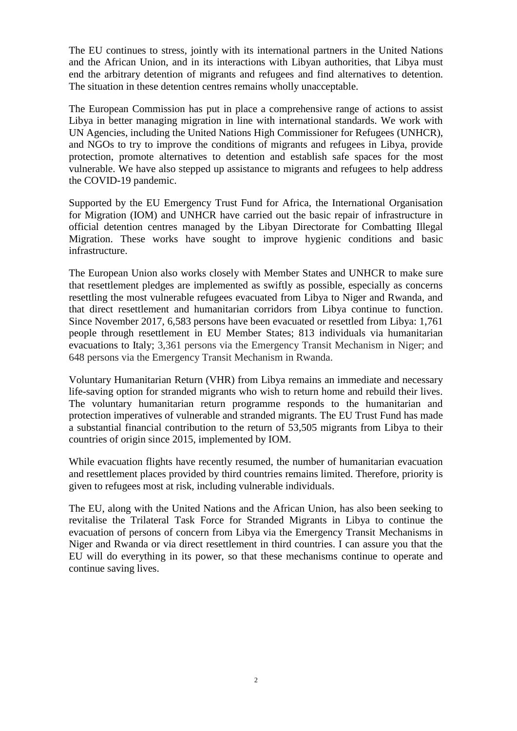The EU continues to stress, jointly with its international partners in the United Nations and the African Union, and in its interactions with Libyan authorities, that Libya must end the arbitrary detention of migrants and refugees and find alternatives to detention. The situation in these detention centres remains wholly unacceptable.

The European Commission has put in place a comprehensive range of actions to assist Libya in better managing migration in line with international standards. We work with UN Agencies, including the United Nations High Commissioner for Refugees (UNHCR), and NGOs to try to improve the conditions of migrants and refugees in Libya, provide protection, promote alternatives to detention and establish safe spaces for the most vulnerable. We have also stepped up assistance to migrants and refugees to help address the COVID-19 pandemic.

Supported by the EU Emergency Trust Fund for Africa, the International Organisation for Migration (IOM) and UNHCR have carried out the basic repair of infrastructure in official detention centres managed by the Libyan Directorate for Combatting Illegal Migration. These works have sought to improve hygienic conditions and basic infrastructure.

The European Union also works closely with Member States and UNHCR to make sure that resettlement pledges are implemented as swiftly as possible, especially as concerns resettling the most vulnerable refugees evacuated from Libya to Niger and Rwanda, and that direct resettlement and humanitarian corridors from Libya continue to function. Since November 2017, 6,583 persons have been evacuated or resettled from Libya: 1,761 people through resettlement in EU Member States; 813 individuals via humanitarian evacuations to Italy; 3,361 persons via the Emergency Transit Mechanism in Niger; and 648 persons via the Emergency Transit Mechanism in Rwanda.

Voluntary Humanitarian Return (VHR) from Libya remains an immediate and necessary life-saving option for stranded migrants who wish to return home and rebuild their lives. The voluntary humanitarian return programme responds to the humanitarian and protection imperatives of vulnerable and stranded migrants. The EU Trust Fund has made a substantial financial contribution to the return of 53,505 migrants from Libya to their countries of origin since 2015, implemented by IOM.

While evacuation flights have recently resumed, the number of humanitarian evacuation and resettlement places provided by third countries remains limited. Therefore, priority is given to refugees most at risk, including vulnerable individuals.

The EU, along with the United Nations and the African Union, has also been seeking to revitalise the Trilateral Task Force for Stranded Migrants in Libya to continue the evacuation of persons of concern from Libya via the Emergency Transit Mechanisms in Niger and Rwanda or via direct resettlement in third countries. I can assure you that the EU will do everything in its power, so that these mechanisms continue to operate and continue saving lives.